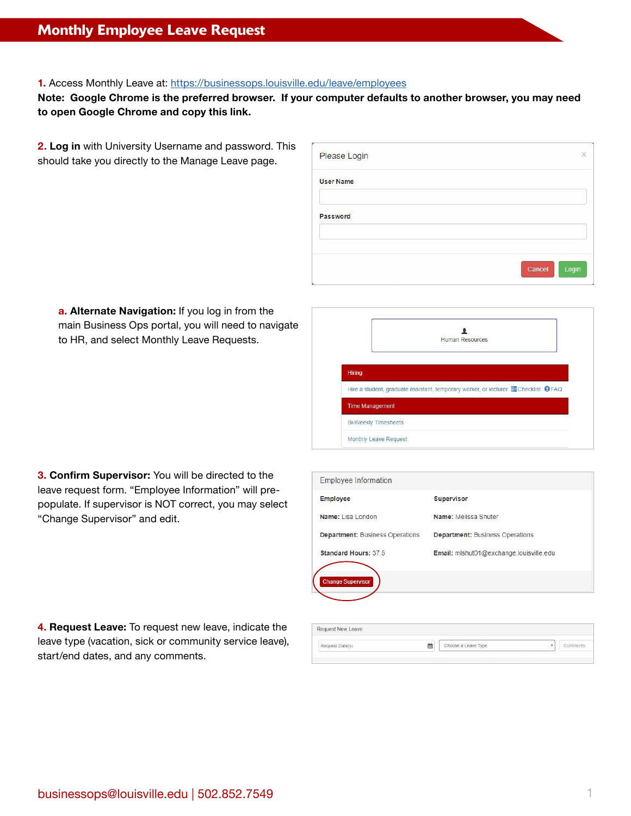## Monthly Employee Leave Request

## **1.** Access Monthly Leave at: <https://businessops.louisville.edu/leave/employees>

**Note: Google Chrome is the preferred browser. If your computer defaults to another browser, you may need to open Google Chrome and copy this link.**

**2. Log in** with University Username and password. This should take you directly to the Manage Leave page.

| Please Login     | ×               |
|------------------|-----------------|
| <b>User Name</b> |                 |
| Password         |                 |
|                  |                 |
|                  | Login<br>Cancel |

**a. Alternate Navigation:** If you log in from the main Business Ops portal, you will need to navigate to HR, and select Monthly Leave Requests.

|                             | <b>Human Resources</b>                                                                            |
|-----------------------------|---------------------------------------------------------------------------------------------------|
|                             |                                                                                                   |
| Hiring                      |                                                                                                   |
|                             | Hire a student, graduate assistant, temporary worker, or lecturer <b>E</b> Checklist <b>O</b> FAQ |
| <b>Time Management</b>      |                                                                                                   |
| <b>Bi-Weekly Timesheets</b> |                                                                                                   |
|                             |                                                                                                   |

| <b>3. Confirm Supervisor:</b> You will be directed to the |
|-----------------------------------------------------------|
| leave request form. "Employee Information" will pre-      |
| populate. If supervisor is NOT correct, you may select    |
| "Change Supervisor" and edit.                             |

| <b>Employee Information</b>            |                                         |
|----------------------------------------|-----------------------------------------|
| <b>Employee</b>                        | <b>Supervisor</b>                       |
| Name: Lisa London                      | Name: Melissa Shuter                    |
| <b>Department: Business Operations</b> | <b>Department: Business Operations</b>  |
| Standard Hours: 37.5                   | Email: mlshut01@exchange.louisville.edu |
| <b>Change Supervisor</b>               |                                         |

**4. Request Leave:** To request new leave, indicate the leave type (vacation, sick or community service leave), start/end dates, and any comments.

| Request Date(s) | m | Choose a Leave Type |  |
|-----------------|---|---------------------|--|